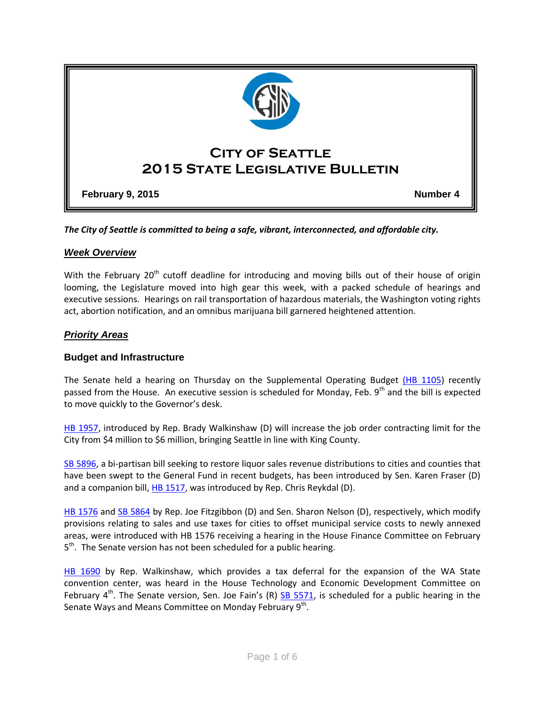

*The City of Seattle is committed to being a safe, vibrant, interconnected, and affordable city.* 

### *Week Overview*

With the February 20<sup>th</sup> cutoff deadline for introducing and moving bills out of their house of origin looming, the Legislature moved into high gear this week, with a packed schedule of hearings and executive sessions. Hearings on rail transportation of hazardous materials, the Washington voting rights act, abortion notification, and an omnibus marijuana bill garnered heightened attention.

### *Priority Areas*

#### **Budget and Infrastructure**

The Senate held a hearing on Thursday on the Supplemental Operating Budget [\(HB 1105\)](http://app.leg.wa.gov/billinfo/summary.aspx?bill=1105&year=2015) recently passed from the House. An executive session is scheduled for Monday, Feb. 9<sup>th</sup> and the bill is expected to move quickly to the Governor's desk.

[HB 1957,](http://apps.leg.wa.gov/billinfo/summary.aspx?bill=1957&year=2015#0) introduced by Rep. Brady Walkinshaw (D) will increase the job order contracting limit for the City from \$4 million to \$6 million, bringing Seattle in line with King County.

[SB 5896,](http://app.leg.wa.gov/billinfo/summary.aspx?bill=5896&year=2015) a bi-partisan bill seeking to restore liquor sales revenue distributions to cities and counties that have been swept to the General Fund in recent budgets, has been introduced by Sen. Karen Fraser (D) and a companion bill, [HB 1517,](http://app.leg.wa.gov/billinfo/summary.aspx?bill=1517&year=2015) was introduced by Rep. Chris Reykdal (D).

[HB 1576](http://app.leg.wa.gov/billinfo/summary.aspx?bill=1576&year=2015) and [SB 5864](http://app.leg.wa.gov/billinfo/summary.aspx?bill=5864&year=2015) by Rep. Joe Fitzgibbon (D) and Sen. Sharon Nelson (D), respectively, which modify provisions relating to sales and use taxes for cities to offset municipal service costs to newly annexed areas, were introduced with HB 1576 receiving a hearing in the House Finance Committee on February 5<sup>th</sup>. The Senate version has not been scheduled for a public hearing.

[HB 1690](http://app.leg.wa.gov/billinfo/summary.aspx?bill=1690&year=2015) by Rep. Walkinshaw, which provides a tax deferral for the expansion of the WA State convention center, was heard in the House Technology and Economic Development Committee on February  $4^{th}$ . The Senate version, Sen. Joe Fain's (R) [SB 5571,](http://app.leg.wa.gov/billinfo/summary.aspx?bill=5571&year=2015) is scheduled for a public hearing in the Senate Ways and Means Committee on Monday February 9<sup>th</sup>.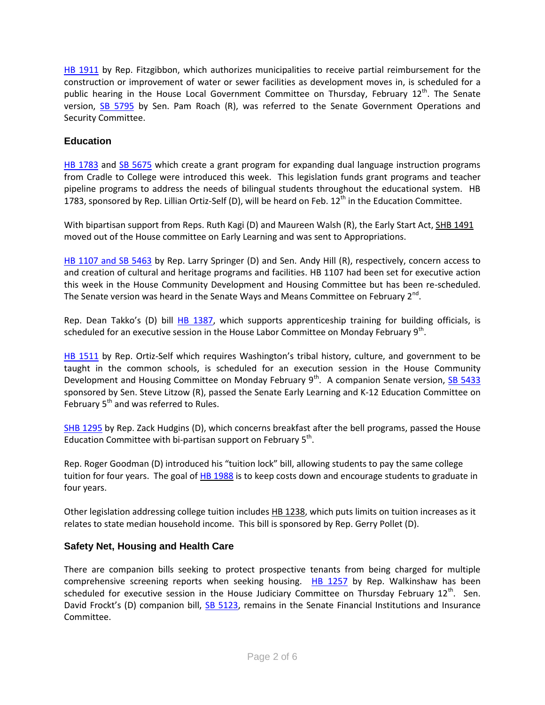[HB 1911](http://app.leg.wa.gov/billinfo/summary.aspx?bill=1911&year=2015) by Rep. Fitzgibbon, which authorizes municipalities to receive partial reimbursement for the construction or improvement of water or sewer facilities as development moves in, is scheduled for a public hearing in the House Local Government Committee on Thursday, February  $12<sup>th</sup>$ . The Senate version, [SB 5795](http://app.leg.wa.gov/billinfo/summary.aspx?bill=5795&year=2015) by Sen. Pam Roach (R), was referred to the Senate Government Operations and Security Committee.

# **Education**

[HB 1783](http://app.leg.wa.gov/billinfo/summary.aspx?bill=1783&year=2015) and [SB 5675](http://app.leg.wa.gov/billinfo/summary.aspx?bill=5675&year=2015) which create a grant program for expanding dual language instruction programs from Cradle to College were introduced this week. This legislation funds grant programs and teacher pipeline programs to address the needs of bilingual students throughout the educational system. HB 1783, sponsored by Rep. Lillian Ortiz-Self (D), will be heard on Feb.  $12<sup>th</sup>$  in the Education Committee.

With bipartisan support from Reps. Ruth Kagi (D) and Maureen Walsh (R), the Early Start Act, SHB [1491](http://app.leg.wa.gov/billinfo/summary.aspx?bill=1491&year=2015) moved out of the House committee on Early Learning and was sent to Appropriations.

[HB 1107 and SB 5463](http://app.leg.wa.gov/billinfo/summary.aspx?bill=1107&year=2015) by Rep. Larry Springer (D) and Sen. Andy Hill (R), respectively, concern access to and creation of cultural and heritage programs and facilities. HB 1107 had been set for executive action this week in the House Community Development and Housing Committee but has been re-scheduled. The Senate version was heard in the Senate Ways and Means Committee on February 2<sup>nd</sup>.

Rep. Dean Takko's (D) bill [HB 1387,](http://app.leg.wa.gov/billinfo/summary.aspx?bill=1387&year=2015) which supports apprenticeship training for building officials, is scheduled for an executive session in the House Labor Committee on Monday February 9<sup>th</sup>.

[HB 1511](http://app.leg.wa.gov/billinfo/summary.aspx?bill=1511&year=2015) by Rep. Ortiz-Self which requires Washington's tribal history, culture, and government to be taught in the common schools, is scheduled for an execution session in the House Community Development and Housing Committee on Monday February 9<sup>th</sup>. A companion Senate version, [SB 5433](http://app.leg.wa.gov/billinfo/summary.aspx?bill=5433&year=2015) sponsored by Sen. Steve Litzow (R), passed the Senate Early Learning and K-12 Education Committee on February  $5<sup>th</sup>$  and was referred to Rules.

[SHB 1295](http://app.leg.wa.gov/billinfo/summary.aspx?bill=1295&year=2015) by Rep. Zack Hudgins (D), which concerns breakfast after the bell programs, passed the House Education Committee with bi-partisan support on February  $5^{th}$ .

Rep. Roger Goodman (D) introduced his "tuition lock" bill, allowing students to pay the same college tuition for four years. The goal of HB [1988](http://lawfilesext.leg.wa.gov/biennium/2015-16/Pdf/Bills/House%20Bills/1988.pdf) is to keep costs down and encourage students to graduate in four years.

Other legislation addressing college tuition includes HB [1238,](http://app.leg.wa.gov/billinfo/summary.aspx?bill=1238&year=2015) which puts limits on tuition increases as it relates to state median household income. This bill is sponsored by Rep. Gerry Pollet (D).

## **Safety Net, Housing and Health Care**

There are companion bills seeking to protect prospective tenants from being charged for multiple comprehensive screening reports when seeking housing.  $H\text{B}$  1257 by Rep. Walkinshaw has been scheduled for executive session in the House Judiciary Committee on Thursday February  $12<sup>th</sup>$ . Sen. David Frockt's (D) companion bill, [SB 5123,](http://app.leg.wa.gov/billinfo/summary.aspx?bill=5123&year=2015) remains in the Senate Financial Institutions and Insurance Committee.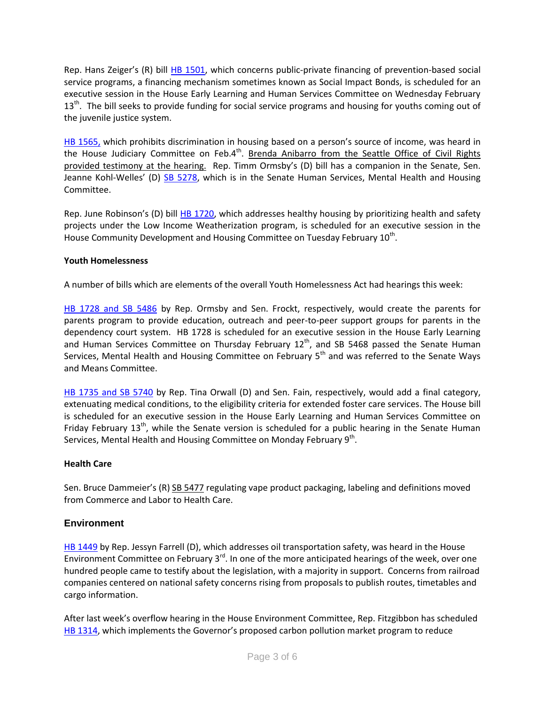Rep. Hans Zeiger's (R) bill [HB 1501,](http://app.leg.wa.gov/billinfo/summary.aspx?bill=1501&year=2015) which concerns public-private financing of prevention-based social service programs, a financing mechanism sometimes known as Social Impact Bonds, is scheduled for an executive session in the House Early Learning and Human Services Committee on Wednesday February 13<sup>th</sup>. The bill seeks to provide funding for social service programs and housing for youths coming out of the juvenile justice system.

[HB 1565,](http://app.leg.wa.gov/billinfo/summary.aspx?bill=1565&year=2015) which prohibits discrimination in housing based on a person's source of income, was heard in the House Judiciary Committee on Feb.4<sup>th</sup>. Brenda Anibarro from the Seattle Office of Civil Rights provided testimony at the hearing. Rep. Timm Ormsby's (D) bill has a companion in the Senate, Sen. Jeanne Kohl-Welles' (D) [SB 5278,](http://app.leg.wa.gov/billinfo/summary.aspx?bill=5378&year=2015) which is in the Senate Human Services, Mental Health and Housing Committee.

Rep. June Robinson's (D) bill **HB 1720**, which addresses healthy housing by prioritizing health and safety projects under the Low Income Weatherization program, is scheduled for an executive session in the House Community Development and Housing Committee on Tuesday February  $10^{\text{th}}$ .

### **Youth Homelessness**

A number of bills which are elements of the overall Youth Homelessness Act had hearings this week:

[HB 1728 and SB 5486](http://app.leg.wa.gov/billinfo/summary.aspx?bill=1728&year=2015) by Rep. Ormsby and Sen. Frockt, respectively, would create the parents for parents program to provide education, outreach and peer-to-peer support groups for parents in the dependency court system. HB 1728 is scheduled for an executive session in the House Early Learning and Human Services Committee on Thursday February  $12<sup>th</sup>$ , and SB 5468 passed the Senate Human Services, Mental Health and Housing Committee on February  $5<sup>th</sup>$  and was referred to the Senate Ways and Means Committee.

[HB 1735 and SB 5740](http://app.leg.wa.gov/billinfo/summary.aspx?bill=1735&year=2015) by Rep. Tina Orwall (D) and Sen. Fain, respectively, would add a final category, extenuating medical conditions, to the eligibility criteria for extended foster care services. The House bill is scheduled for an executive session in the House Early Learning and Human Services Committee on Friday February  $13<sup>th</sup>$ , while the Senate version is scheduled for a public hearing in the Senate Human Services, Mental Health and Housing Committee on Monday February 9<sup>th</sup>.

#### **Health Care**

Sen. Bruce Dammeier's (R) SB [5477](http://app.leg.wa.gov/billinfo/summary.aspx?bill=5477&year=2015) regulating vape product packaging, labeling and definitions moved from Commerce and Labor to Health Care.

### **Environment**

[HB 1449](http://app.leg.wa.gov/billinfo/summary.aspx?bill=1449&year=2015) by Rep. Jessyn Farrell (D), which addresses oil transportation safety, was heard in the House Environment Committee on February 3 $^{\text{rd}}$ . In one of the more anticipated hearings of the week, over one hundred people came to testify about the legislation, with a majority in support. Concerns from railroad companies centered on national safety concerns rising from proposals to publish routes, timetables and cargo information.

After last week's overflow hearing in the House Environment Committee, Rep. Fitzgibbon has scheduled [HB 1314](http://app.leg.wa.gov/billinfo/summary.aspx?bill=1314&year=2015), which implements the Governor's proposed carbon pollution market program to reduce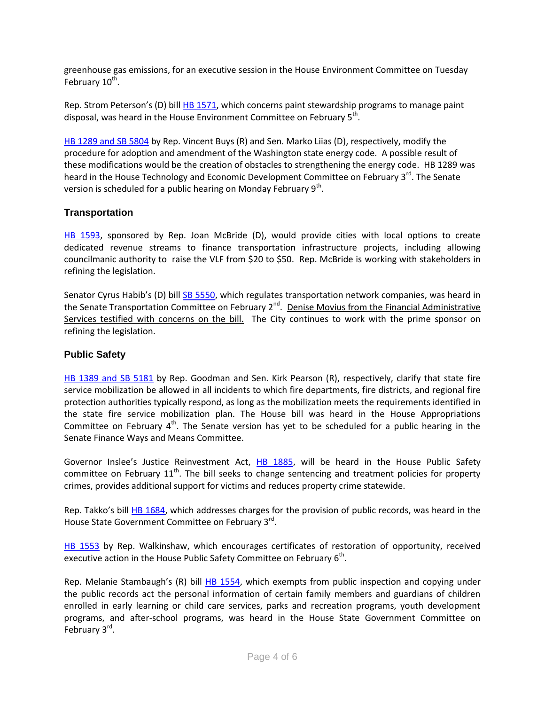greenhouse gas emissions, for an executive session in the House Environment Committee on Tuesday February 10<sup>th</sup>.

Rep. Strom Peterson's (D) bill [HB 1571,](http://app.leg.wa.gov/billinfo/summary.aspx?bill=1571&year=2015) which concerns paint stewardship programs to manage paint disposal, was heard in the House Environment Committee on February 5<sup>th</sup>.

[HB 1289 and SB 5804](http://app.leg.wa.gov/billinfo/summary.aspx?bill=1289&year=2015) by Rep. Vincent Buys (R) and Sen. Marko Liias (D), respectively, modify the procedure for adoption and amendment of the Washington state energy code. A possible result of these modifications would be the creation of obstacles to strengthening the energy code. HB 1289 was heard in the House Technology and Economic Development Committee on February 3<sup>rd</sup>. The Senate version is scheduled for a public hearing on Monday February 9<sup>th</sup>.

## **Transportation**

[HB 1593,](http://app.leg.wa.gov/billinfo/summary.aspx?bill=1593&year=2015) sponsored by Rep. Joan McBride (D), would provide cities with local options to create dedicated revenue streams to finance transportation infrastructure projects, including allowing councilmanic authority to raise the VLF from \$20 to \$50. Rep. McBride is working with stakeholders in refining the legislation.

Senator Cyrus Habib's (D) bill [SB 5550,](http://app.leg.wa.gov/billinfo/summary.aspx?bill=5550&year=2015) which regulates transportation network companies, was heard in the Senate Transportation Committee on February 2<sup>nd</sup>. Denise Movius from the Financial Administrative Services testified with concerns on the bill. The City continues to work with the prime sponsor on refining the legislation.

### **Public Safety**

[HB 1389 and SB 5181](http://app.leg.wa.gov/billinfo/summary.aspx?bill=1389&year=2015) by Rep. Goodman and Sen. Kirk Pearson (R), respectively, clarify that state fire service mobilization be allowed in all incidents to which fire departments, fire districts, and regional fire protection authorities typically respond, as long as the mobilization meets the requirements identified in the state fire service mobilization plan. The House bill was heard in the House Appropriations Committee on February  $4<sup>th</sup>$ . The Senate version has yet to be scheduled for a public hearing in the Senate Finance Ways and Means Committee.

Governor Inslee's Justice Reinvestment Act, [HB 1885,](http://apps.leg.wa.gov/billinfo/summary.aspx?bill=1885&year=2015) will be heard in the House Public Safety committee on February 11<sup>th</sup>. The bill seeks to change sentencing and treatment policies for property crimes, provides additional support for victims and reduces property crime statewide.

Rep. Takko's bill [HB 1684,](http://app.leg.wa.gov/billinfo/summary.aspx?bill=1684&year=2015) which addresses charges for the provision of public records, was heard in the House State Government Committee on February 3<sup>rd</sup>.

[HB 1553](http://app.leg.wa.gov/billinfo/summary.aspx?bill=1553&year=2015) by Rep. Walkinshaw, which encourages certificates of restoration of opportunity, received executive action in the House Public Safety Committee on February 6<sup>th</sup>.

Rep. Melanie Stambaugh's (R) bill [HB 1554,](http://app.leg.wa.gov/billinfo/summary.aspx?bill=1554&year=2015) which exempts from public inspection and copying under the public records act the personal information of certain family members and guardians of children enrolled in early learning or child care services, parks and recreation programs, youth development programs, and after-school programs, was heard in the House State Government Committee on February 3<sup>rd</sup>.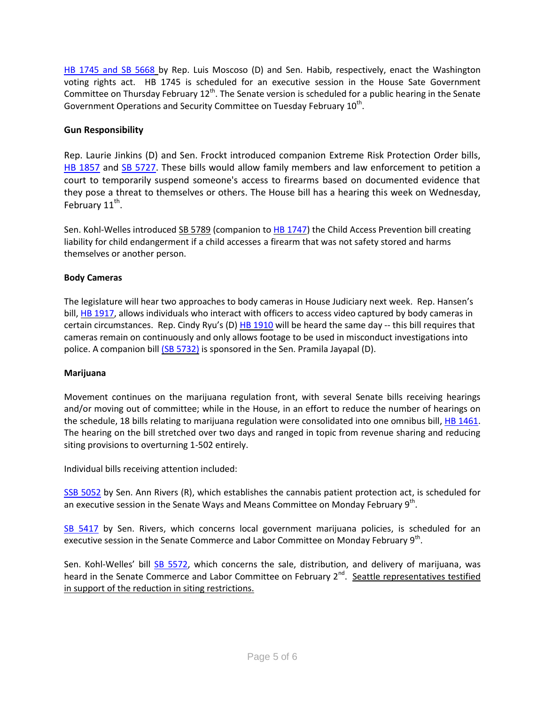[HB 1745 and SB 5668](http://app.leg.wa.gov/billinfo/summary.aspx?bill=1745&year=2015) by Rep. Luis Moscoso (D) and Sen. Habib, respectively, enact the Washington voting rights act. HB 1745 is scheduled for an executive session in the House Sate Government Committee on Thursday February  $12<sup>th</sup>$ . The Senate version is scheduled for a public hearing in the Senate Government Operations and Security Committee on Tuesday February  $10^{\text{th}}$ .

### **Gun Responsibility**

Rep. Laurie Jinkins (D) and Sen. Frockt introduced companion Extreme Risk Protection Order bills, [HB 1857](http://apps.leg.wa.gov/billinfo/summary.aspx?bill=1857&year=2015) and [SB 5727.](http://apps.leg.wa.gov/billinfo/summary.aspx?bill=5727&year=2015) These bills would allow family members and law enforcement to petition a court to temporarily suspend someone's access to firearms based on documented evidence that they pose a threat to themselves or others. The House bill has a hearing this week on Wednesday, February  $11^{\text{th}}$ .

Sen. Kohl-Welles introduced SB [5789](http://app.leg.wa.gov/billinfo/summary.aspx?bill=5789&year=2015) (companion to HB [1747\)](http://apps.leg.wa.gov/billinfo/summary.aspx?bill=1747&year=2015) the Child Access Prevention bill creating liability for child endangerment if a child accesses a firearm that was not safety stored and harms themselves or another person.

### **Body Cameras**

The legislature will hear two approaches to body cameras in House Judiciary next week. Rep. Hansen's bill, HB [1917,](http://apps.leg.wa.gov/billinfo/summary.aspx?bill=1917&year=2015) allows individuals who interact with officers to access video captured by body cameras in certain circumstances. Rep. Cindy Ryu's (D)  $HB 1910$  $HB 1910$  will be heard the same day -- this bill requires that cameras remain on continuously and only allows footage to be used in misconduct investigations into police. A companion bill (SB [5732\)](http://apps.leg.wa.gov/billinfo/summary.aspx?bill=5732&year=2015) is sponsored in the Sen. Pramila Jayapal (D).

### **Marijuana**

Movement continues on the marijuana regulation front, with several Senate bills receiving hearings and/or moving out of committee; while in the House, in an effort to reduce the number of hearings on the schedule, 18 bills relating to marijuana regulation were consolidated into one omnibus bill[, HB 1461.](http://app.leg.wa.gov/billinfo/summary.aspx?bill=1461&year=2015) The hearing on the bill stretched over two days and ranged in topic from revenue sharing and reducing siting provisions to overturning 1-502 entirely.

Individual bills receiving attention included:

[SSB 5052](http://app.leg.wa.gov/billinfo/summary.aspx?bill=5052&year=2015) by Sen. Ann Rivers (R), which establishes the cannabis patient protection act, is scheduled for an executive session in the Senate Ways and Means Committee on Monday February 9<sup>th</sup>.

[SB 5417](http://app.leg.wa.gov/billinfo/summary.aspx?bill=5417&year=2015) by Sen. Rivers, which concerns local government marijuana policies, is scheduled for an executive session in the Senate Commerce and Labor Committee on Monday February 9<sup>th</sup>.

Sen. Kohl-Welles' bill [SB 5572,](http://app.leg.wa.gov/billinfo/summary.aspx?bill=5572&year=2015) which concerns the sale, distribution, and delivery of marijuana, was heard in the Senate Commerce and Labor Committee on February 2<sup>nd</sup>. Seattle representatives testified in support of the reduction in siting restrictions.